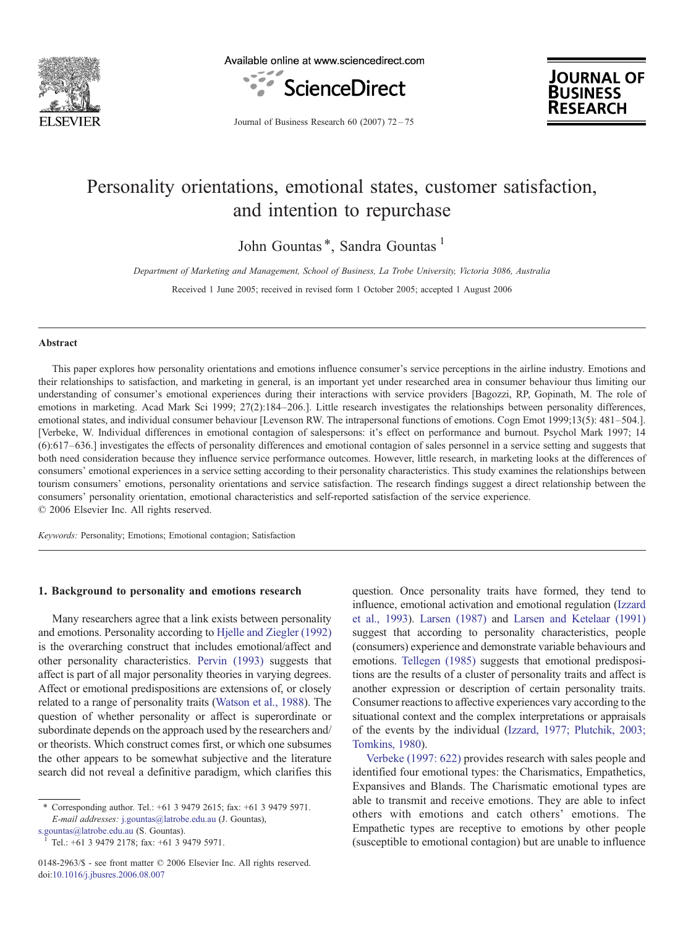

Available online at www.sciencedirect.com





Journal of Business Research 60 (2007) 72–75

## Personality orientations, emotional states, customer satisfaction, and intention to repurchase

John Gountas<sup>\*</sup>, Sandra Gountas<sup>1</sup>

Department of Marketing and Management, School of Business, La Trobe University, Victoria 3086, Australia

Received 1 June 2005; received in revised form 1 October 2005; accepted 1 August 2006

#### Abstract

This paper explores how personality orientations and emotions influence consumer's service perceptions in the airline industry. Emotions and their relationships to satisfaction, and marketing in general, is an important yet under researched area in consumer behaviour thus limiting our understanding of consumer's emotional experiences during their interactions with service providers [Bagozzi, RP, Gopinath, M. The role of emotions in marketing. Acad Mark Sci 1999; 27(2):184–206.]. Little research investigates the relationships between personality differences, emotional states, and individual consumer behaviour [Levenson RW. The intrapersonal functions of emotions. Cogn Emot 1999;13(5): 481–504.]. [Verbeke, W. Individual differences in emotional contagion of salespersons: it's effect on performance and burnout. Psychol Mark 1997; 14 (6):617–636.] investigates the effects of personality differences and emotional contagion of sales personnel in a service setting and suggests that both need consideration because they influence service performance outcomes. However, little research, in marketing looks at the differences of consumers' emotional experiences in a service setting according to their personality characteristics. This study examines the relationships between tourism consumers' emotions, personality orientations and service satisfaction. The research findings suggest a direct relationship between the consumers' personality orientation, emotional characteristics and self-reported satisfaction of the service experience. © 2006 Elsevier Inc. All rights reserved.

Keywords: Personality; Emotions; Emotional contagion; Satisfaction

#### 1. Background to personality and emotions research

Many researchers agree that a link exists between personality and emotions. Personality according to [Hjelle and Ziegler \(1992\)](#page--1-0) is the overarching construct that includes emotional/affect and other personality characteristics. [Pervin \(1993\)](#page--1-0) suggests that affect is part of all major personality theories in varying degrees. Affect or emotional predispositions are extensions of, or closely related to a range of personality traits ([Watson et al., 1988](#page--1-0)). The question of whether personality or affect is superordinate or subordinate depends on the approach used by the researchers and/ or theorists. Which construct comes first, or which one subsumes the other appears to be somewhat subjective and the literature search did not reveal a definitive paradigm, which clarifies this

[s.gountas@latrobe.edu.au](mailto:s.gountas@latrobe.edu.au) (S. Gountas). <sup>1</sup> Tel.: +61 3 9479 2178; fax: +61 3 9479 5971.

0148-2963/\$ - see front matter © 2006 Elsevier Inc. All rights reserved. doi:[10.1016/j.jbusres.2006.08.007](http://dx.doi.org/10.1016/j.jbusres.2006.08.007)

question. Once personality traits have formed, they tend to influence, emotional activation and emotional regulation ([Izzard](#page--1-0) [et al., 1993](#page--1-0)). [Larsen \(1987\)](#page--1-0) and [Larsen and Ketelaar \(1991\)](#page--1-0) suggest that according to personality characteristics, people (consumers) experience and demonstrate variable behaviours and emotions. [Tellegen \(1985\)](#page--1-0) suggests that emotional predispositions are the results of a cluster of personality traits and affect is another expression or description of certain personality traits. Consumer reactions to affective experiences vary according to the situational context and the complex interpretations or appraisals of the events by the individual ([Izzard, 1977; Plutchik, 2003;](#page--1-0) [Tomkins, 1980](#page--1-0)).

[Verbeke \(1997: 622\)](#page--1-0) provides research with sales people and identified four emotional types: the Charismatics, Empathetics, Expansives and Blands. The Charismatic emotional types are able to transmit and receive emotions. They are able to infect others with emotions and catch others' emotions. The Empathetic types are receptive to emotions by other people (susceptible to emotional contagion) but are unable to influence

<sup>⁎</sup> Corresponding author. Tel.: +61 3 9479 2615; fax: +61 3 9479 5971. E-mail addresses: [j.gountas@latrobe.edu.au](mailto:j.gountas@latrobe.edu.au) (J. Gountas),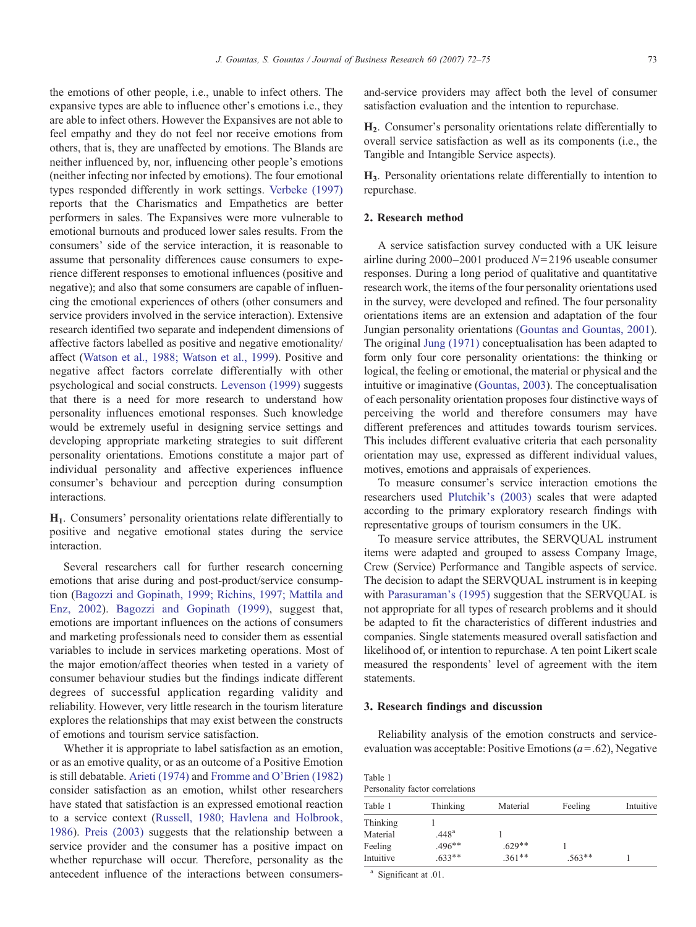the emotions of other people, i.e., unable to infect others. The expansive types are able to influence other's emotions i.e., they are able to infect others. However the Expansives are not able to feel empathy and they do not feel nor receive emotions from others, that is, they are unaffected by emotions. The Blands are neither influenced by, nor, influencing other people's emotions (neither infecting nor infected by emotions). The four emotional types responded differently in work settings. [Verbeke \(1997\)](#page--1-0) reports that the Charismatics and Empathetics are better performers in sales. The Expansives were more vulnerable to emotional burnouts and produced lower sales results. From the consumers' side of the service interaction, it is reasonable to assume that personality differences cause consumers to experience different responses to emotional influences (positive and negative); and also that some consumers are capable of influencing the emotional experiences of others (other consumers and service providers involved in the service interaction). Extensive research identified two separate and independent dimensions of affective factors labelled as positive and negative emotionality/ affect [\(Watson et al., 1988; Watson et al., 1999\)](#page--1-0). Positive and negative affect factors correlate differentially with other psychological and social constructs. [Levenson \(1999\)](#page--1-0) suggests that there is a need for more research to understand how personality influences emotional responses. Such knowledge would be extremely useful in designing service settings and developing appropriate marketing strategies to suit different personality orientations. Emotions constitute a major part of individual personality and affective experiences influence consumer's behaviour and perception during consumption interactions.

H1. Consumers' personality orientations relate differentially to positive and negative emotional states during the service interaction.

Several researchers call for further research concerning emotions that arise during and post-product/service consumption [\(Bagozzi and Gopinath, 1999; Richins, 1997; Mattila and](#page--1-0) [Enz, 2002](#page--1-0)). [Bagozzi and Gopinath \(1999\)](#page--1-0), suggest that, emotions are important influences on the actions of consumers and marketing professionals need to consider them as essential variables to include in services marketing operations. Most of the major emotion/affect theories when tested in a variety of consumer behaviour studies but the findings indicate different degrees of successful application regarding validity and reliability. However, very little research in the tourism literature explores the relationships that may exist between the constructs of emotions and tourism service satisfaction.

Whether it is appropriate to label satisfaction as an emotion, or as an emotive quality, or as an outcome of a Positive Emotion is still debatable. [Arieti \(1974\)](#page--1-0) and [Fromme and O'Brien \(1982\)](#page--1-0) consider satisfaction as an emotion, whilst other researchers have stated that satisfaction is an expressed emotional reaction to a service context [\(Russell, 1980; Havlena and Holbrook,](#page--1-0) [1986](#page--1-0)). [Preis \(2003\)](#page--1-0) suggests that the relationship between a service provider and the consumer has a positive impact on whether repurchase will occur. Therefore, personality as the antecedent influence of the interactions between consumersand-service providers may affect both the level of consumer satisfaction evaluation and the intention to repurchase.

H2. Consumer's personality orientations relate differentially to overall service satisfaction as well as its components (i.e., the Tangible and Intangible Service aspects).

H3. Personality orientations relate differentially to intention to repurchase.

### 2. Research method

A service satisfaction survey conducted with a UK leisure airline during  $2000-2001$  produced  $N=2196$  useable consumer responses. During a long period of qualitative and quantitative research work, the items of the four personality orientations used in the survey, were developed and refined. The four personality orientations items are an extension and adaptation of the four Jungian personality orientations ([Gountas and Gountas, 2001\)](#page--1-0). The original [Jung \(1971\)](#page--1-0) conceptualisation has been adapted to form only four core personality orientations: the thinking or logical, the feeling or emotional, the material or physical and the intuitive or imaginative ([Gountas, 2003](#page--1-0)). The conceptualisation of each personality orientation proposes four distinctive ways of perceiving the world and therefore consumers may have different preferences and attitudes towards tourism services. This includes different evaluative criteria that each personality orientation may use, expressed as different individual values, motives, emotions and appraisals of experiences.

To measure consumer's service interaction emotions the researchers used [Plutchik's \(2003\)](#page--1-0) scales that were adapted according to the primary exploratory research findings with representative groups of tourism consumers in the UK.

To measure service attributes, the SERVQUAL instrument items were adapted and grouped to assess Company Image, Crew (Service) Performance and Tangible aspects of service. The decision to adapt the SERVQUAL instrument is in keeping with [Parasuraman's \(1995\)](#page--1-0) suggestion that the SERVQUAL is not appropriate for all types of research problems and it should be adapted to fit the characteristics of different industries and companies. Single statements measured overall satisfaction and likelihood of, or intention to repurchase. A ten point Likert scale measured the respondents' level of agreement with the item statements.

## 3. Research findings and discussion

Reliability analysis of the emotion constructs and serviceevaluation was acceptable: Positive Emotions ( $a = .62$ ), Negative

| Table 1                         |  |
|---------------------------------|--|
| Personality factor correlations |  |

| Table 1   | Thinking          | Material | Feeling  | Intuitive |
|-----------|-------------------|----------|----------|-----------|
| Thinking  |                   |          |          |           |
| Material  | .448 <sup>a</sup> |          |          |           |
| Feeling   | $.496**$          | $.629**$ |          |           |
| Intuitive | $.633**$          | $.361**$ | $.563**$ |           |

<sup>a</sup> Significant at .01.